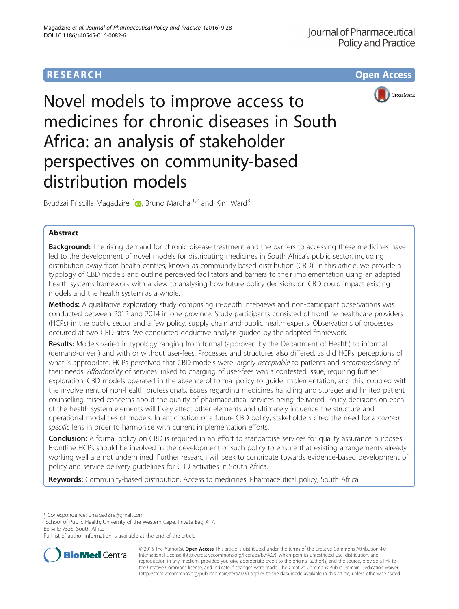# **RESEARCH RESEARCH** *CHECK <b>CHECK*



Novel models to improve access to medicines for chronic diseases in South Africa: an analysis of stakeholder perspectives on community-based distribution models

Bvudzai Priscilla Magadzire<sup>1\*</sup>  $\bullet$ [,](http://orcid.org/0000-0002-4164-6233) Bruno Marchal<sup>1,2</sup> and Kim Ward<sup>3</sup>

# Abstract

Background: The rising demand for chronic disease treatment and the barriers to accessing these medicines have led to the development of novel models for distributing medicines in South Africa's public sector, including distribution away from health centres, known as community-based distribution (CBD). In this article, we provide a typology of CBD models and outline perceived facilitators and barriers to their implementation using an adapted health systems framework with a view to analysing how future policy decisions on CBD could impact existing models and the health system as a whole.

Methods: A qualitative exploratory study comprising in-depth interviews and non-participant observations was conducted between 2012 and 2014 in one province. Study participants consisted of frontline healthcare providers (HCPs) in the public sector and a few policy, supply chain and public health experts. Observations of processes occurred at two CBD sites. We conducted deductive analysis guided by the adapted framework.

Results: Models varied in typology ranging from formal (approved by the Department of Health) to informal (demand-driven) and with or without user-fees. Processes and structures also differed, as did HCPs' perceptions of what is appropriate. HCPs perceived that CBD models were largely acceptable to patients and accommodating of their needs. Affordability of services linked to charging of user-fees was a contested issue, requiring further exploration. CBD models operated in the absence of formal policy to guide implementation, and this, coupled with the involvement of non-health professionals, issues regarding medicines handling and storage; and limited patient counselling raised concerns about the quality of pharmaceutical services being delivered. Policy decisions on each of the health system elements will likely affect other elements and ultimately influence the structure and operational modalities of models. In anticipation of a future CBD policy, stakeholders cited the need for a context specific lens in order to harmonise with current implementation efforts.

**Conclusion:** A formal policy on CBD is required in an effort to standardise services for quality assurance purposes. Frontline HCPs should be involved in the development of such policy to ensure that existing arrangements already working well are not undermined. Further research will seek to contribute towards evidence-based development of policy and service delivery guidelines for CBD activities in South Africa.

Keywords: Community-based distribution, Access to medicines, Pharmaceutical policy, South Africa

\* Correspondence: [bmagadzire@gmail.com](mailto:bmagadzire@gmail.com) <sup>1</sup>

<sup>1</sup>School of Public Health, University of the Western Cape, Private Bag X17, Bellville 7535, South Africa

Full list of author information is available at the end of the article



© 2016 The Author(s). Open Access This article is distributed under the terms of the Creative Commons Attribution 4.0 International License [\(http://creativecommons.org/licenses/by/4.0/](http://creativecommons.org/licenses/by/4.0/)), which permits unrestricted use, distribution, and reproduction in any medium, provided you give appropriate credit to the original author(s) and the source, provide a link to the Creative Commons license, and indicate if changes were made. The Creative Commons Public Domain Dedication waiver [\(http://creativecommons.org/publicdomain/zero/1.0/](http://creativecommons.org/publicdomain/zero/1.0/)) applies to the data made available in this article, unless otherwise stated.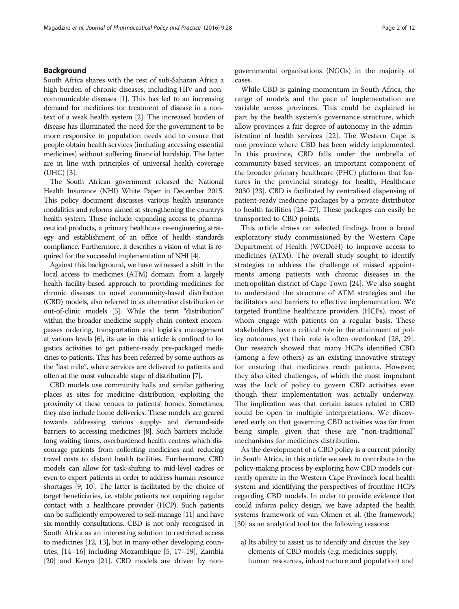# Background

South Africa shares with the rest of sub-Saharan Africa a high burden of chronic diseases, including HIV and noncommunicable diseases [[1](#page-10-0)]. This has led to an increasing demand for medicines for treatment of disease in a context of a weak health system [\[2\]](#page-10-0). The increased burden of disease has illuminated the need for the government to be more responsive to population needs and to ensure that people obtain health services (including accessing essential medicines) without suffering financial hardship. The latter are in line with principles of universal health coverage (UHC) [[3\]](#page-10-0).

The South African government released the National Health Insurance (NHI) White Paper in December 2015. This policy document discusses various health insurance modalities and reforms aimed at strengthening the country's health system. These include: expanding access to pharmaceutical products, a primary healthcare re-engineering strategy and establishment of an office of health standards compliance. Furthermore, it describes a vision of what is required for the successful implementation of NHI [\[4](#page-10-0)].

Against this background, we have witnessed a shift in the local access to medicines (ATM) domain, from a largely health facility-based approach to providing medicines for chronic diseases to novel community-based distribution (CBD) models, also referred to as alternative distribution or out-of-clinic models [\[5](#page-10-0)]. While the term "distribution" within the broader medicine supply chain context encompasses ordering, transportation and logistics management at various levels [[6](#page-10-0)], its use in this article is confined to logistics activities to get patient-ready pre-packaged medicines to patients. This has been referred by some authors as the "last mile", where services are delivered to patients and often at the most vulnerable stage of distribution [[7](#page-10-0)].

CBD models use community halls and similar gathering places as sites for medicine distribution, exploiting the proximity of these venues to patients' homes. Sometimes, they also include home deliveries. These models are geared towards addressing various supply- and demand-side barriers to accessing medicines [\[8\]](#page-10-0). Such barriers include: long waiting times, overburdened health centres which discourage patients from collecting medicines and reducing travel costs to distant health facilities. Furthermore, CBD models can allow for task-shifting to mid-level cadres or even to expert patients in order to address human resource shortages [\[9](#page-10-0), [10](#page-10-0)]. The latter is facilitated by the choice of target beneficiaries, i.e. stable patients not requiring regular contact with a healthcare provider (HCP). Such patients can be sufficiently empowered to self-manage [\[11\]](#page-10-0) and have six-monthly consultations. CBD is not only recognised in South Africa as an interesting solution to restricted access to medicines [\[12](#page-10-0), [13\]](#page-10-0), but in many other developing countries, [[14](#page-10-0)–[16](#page-10-0)] including Mozambique [\[5](#page-10-0), [17](#page-10-0)–[19](#page-10-0)], Zambia [[20](#page-10-0)] and Kenya [[21](#page-10-0)]. CBD models are driven by nongovernmental organisations (NGOs) in the majority of cases.

While CBD is gaining momentum in South Africa, the range of models and the pace of implementation are variable across provinces. This could be explained in part by the health system's governance structure, which allow provinces a fair degree of autonomy in the administration of health services [\[22\]](#page-11-0). The Western Cape is one province where CBD has been widely implemented. In this province, CBD falls under the umbrella of community-based services, an important component of the broader primary healthcare (PHC) platform that features in the provincial strategy for health, Healthcare 2030 [[23\]](#page-11-0). CBD is facilitated by centralised dispensing of patient-ready medicine packages by a private distributor to health facilities [[24](#page-11-0)–[27](#page-11-0)]. These packages can easily be transported to CBD points.

This article draws on selected findings from a broad exploratory study commissioned by the Western Cape Department of Health (WCDoH) to improve access to medicines (ATM). The overall study sought to identify strategies to address the challenge of missed appointments among patients with chronic diseases in the metropolitan district of Cape Town [[24\]](#page-11-0). We also sought to understand the structure of ATM strategies and the facilitators and barriers to effective implementation. We targeted frontline healthcare providers (HCPs), most of whom engage with patients on a regular basis. These stakeholders have a critical role in the attainment of policy outcomes yet their role is often overlooked [[28, 29](#page-11-0)]. Our research showed that many HCPs identified CBD (among a few others) as an existing innovative strategy for ensuring that medicines reach patients. However, they also cited challenges, of which the most important was the lack of policy to govern CBD activities even though their implementation was actually underway. The implication was that certain issues related to CBD could be open to multiple interpretations. We discovered early on that governing CBD activities was far from being simple, given that these are "non-traditional" mechanisms for medicines distribution.

As the development of a CBD policy is a current priority in South Africa, in this article we seek to contribute to the policy-making process by exploring how CBD models currently operate in the Western Cape Province's local health system and identifying the perspectives of frontline HCPs regarding CBD models. In order to provide evidence that could inform policy design, we have adapted the health systems framework of van Olmen et al. (the framework) [[30](#page-11-0)] as an analytical tool for the following reasons:

a) Its ability to assist us to identify and discuss the key elements of CBD models (e.g. medicines supply, human resources, infrastructure and population) and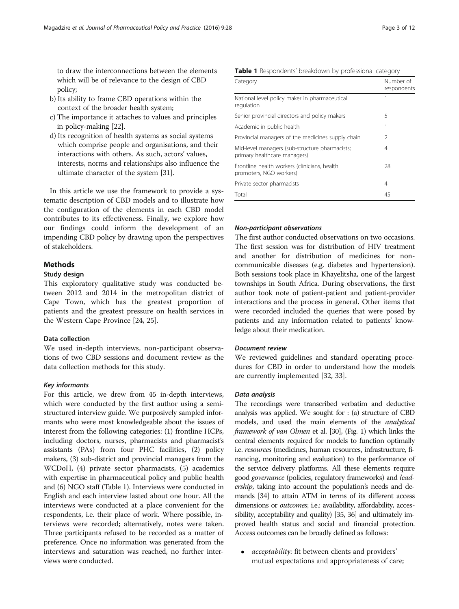to draw the interconnections between the elements which will be of relevance to the design of CBD policy;

- b) Its ability to frame CBD operations within the context of the broader health system;
- c) The importance it attaches to values and principles in policy-making [[22](#page-11-0)].
- d) Its recognition of health systems as social systems which comprise people and organisations, and their interactions with others. As such, actors' values, interests, norms and relationships also influence the ultimate character of the system [\[31](#page-11-0)].

In this article we use the framework to provide a systematic description of CBD models and to illustrate how the configuration of the elements in each CBD model contributes to its effectiveness. Finally, we explore how our findings could inform the development of an impending CBD policy by drawing upon the perspectives of stakeholders.

# **Methods**

#### Study design

This exploratory qualitative study was conducted between 2012 and 2014 in the metropolitan district of Cape Town, which has the greatest proportion of patients and the greatest pressure on health services in the Western Cape Province [[24](#page-11-0), [25](#page-11-0)].

#### Data collection

We used in-depth interviews, non-participant observations of two CBD sessions and document review as the data collection methods for this study.

#### Key informants

For this article, we drew from 45 in-depth interviews, which were conducted by the first author using a semistructured interview guide. We purposively sampled informants who were most knowledgeable about the issues of interest from the following categories: (1) frontline HCPs, including doctors, nurses, pharmacists and pharmacist's assistants (PAs) from four PHC facilities, (2) policy makers, (3) sub-district and provincial managers from the WCDoH, (4) private sector pharmacists, (5) academics with expertise in pharmaceutical policy and public health and (6) NGO staff (Table 1). Interviews were conducted in English and each interview lasted about one hour. All the interviews were conducted at a place convenient for the respondents, i.e. their place of work. Where possible, interviews were recorded; alternatively, notes were taken. Three participants refused to be recorded as a matter of preference. Once no information was generated from the interviews and saturation was reached, no further interviews were conducted.

#### Table 1 Respondents' breakdown by professional category

| Category                                                                       | Number of<br>respondents |
|--------------------------------------------------------------------------------|--------------------------|
| National level policy maker in pharmaceutical<br>regulation                    | 1                        |
| Senior provincial directors and policy makers                                  | 5                        |
| Academic in public health                                                      | 1                        |
| Provincial managers of the medicines supply chain                              | 2                        |
| Mid-level managers (sub-structure pharmacists;<br>primary healthcare managers) | 4                        |
| Frontline health workers (clinicians, health<br>promoters, NGO workers)        | 28                       |
| Private sector pharmacists                                                     | 4                        |
| Total                                                                          | 45                       |

#### Non-participant observations

The first author conducted observations on two occasions. The first session was for distribution of HIV treatment and another for distribution of medicines for noncommunicable diseases (e.g. diabetes and hypertension). Both sessions took place in Khayelitsha, one of the largest townships in South Africa. During observations, the first author took note of patient-patient and patient-provider interactions and the process in general. Other items that were recorded included the queries that were posed by patients and any information related to patients' knowledge about their medication.

# Document review

We reviewed guidelines and standard operating procedures for CBD in order to understand how the models are currently implemented [[32, 33\]](#page-11-0).

# Data analysis

The recordings were transcribed verbatim and deductive analysis was applied. We sought for : (a) structure of CBD models, and used the main elements of the analytical framework of van Olmen et al. [\[30\]](#page-11-0), (Fig. [1](#page-3-0)) which links the central elements required for models to function optimally i.e. resources (medicines, human resources, infrastructure, financing, monitoring and evaluation) to the performance of the service delivery platforms. All these elements require good governance (policies, regulatory frameworks) and leadership, taking into account the population's needs and demands [\[34\]](#page-11-0) to attain ATM in terms of its different access dimensions or outcomes; i.e.: availability, affordability, accessibility, acceptability and quality) [\[35](#page-11-0), [36](#page-11-0)] and ultimately improved health status and social and financial protection. Access outcomes can be broadly defined as follows:

 acceptability: fit between clients and providers' mutual expectations and appropriateness of care;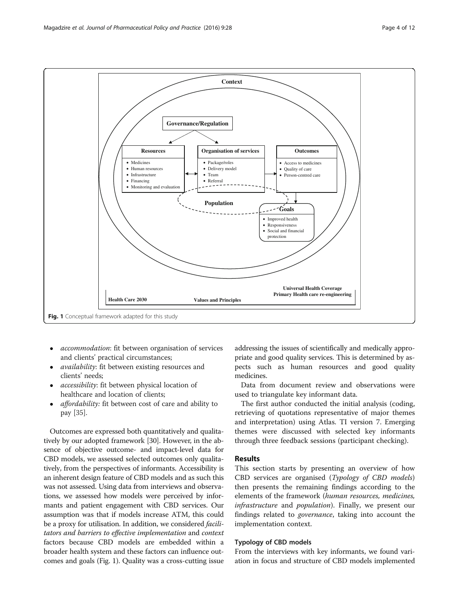<span id="page-3-0"></span>

- accommodation: fit between organisation of services and clients' practical circumstances;
- availability: fit between existing resources and clients' needs;
- *accessibility*: fit between physical location of healthcare and location of clients;
- affordability: fit between cost of care and ability to pay [[35](#page-11-0)].

Outcomes are expressed both quantitatively and qualitatively by our adopted framework [[30](#page-11-0)]. However, in the absence of objective outcome- and impact-level data for CBD models, we assessed selected outcomes only qualitatively, from the perspectives of informants. Accessibility is an inherent design feature of CBD models and as such this was not assessed. Using data from interviews and observations, we assessed how models were perceived by informants and patient engagement with CBD services. Our assumption was that if models increase ATM, this could be a proxy for utilisation. In addition, we considered *facili*tators and barriers to effective implementation and context factors because CBD models are embedded within a broader health system and these factors can influence outcomes and goals (Fig. 1). Quality was a cross-cutting issue addressing the issues of scientifically and medically appropriate and good quality services. This is determined by aspects such as human resources and good quality medicines.

Data from document review and observations were used to triangulate key informant data.

The first author conducted the initial analysis (coding, retrieving of quotations representative of major themes and interpretation) using Atlas. TI version 7. Emerging themes were discussed with selected key informants through three feedback sessions (participant checking).

# Results

This section starts by presenting an overview of how CBD services are organised (Typology of CBD models) then presents the remaining findings according to the elements of the framework (human resources, medicines, infrastructure and *population*). Finally, we present our findings related to *governance*, taking into account the implementation context.

## Typology of CBD models

From the interviews with key informants, we found variation in focus and structure of CBD models implemented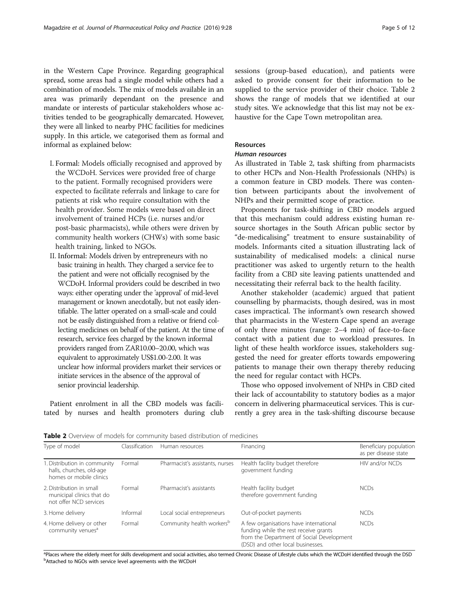in the Western Cape Province. Regarding geographical spread, some areas had a single model while others had a combination of models. The mix of models available in an area was primarily dependant on the presence and mandate or interests of particular stakeholders whose activities tended to be geographically demarcated. However, they were all linked to nearby PHC facilities for medicines supply. In this article, we categorised them as formal and informal as explained below:

- I. Formal: Models officially recognised and approved by the WCDoH. Services were provided free of charge to the patient. Formally recognised providers were expected to facilitate referrals and linkage to care for patients at risk who require consultation with the health provider. Some models were based on direct involvement of trained HCPs (i.e. nurses and/or post-basic pharmacists), while others were driven by community health workers (CHWs) with some basic health training, linked to NGOs.
- II. Informal: Models driven by entrepreneurs with no basic training in health. They charged a service fee to the patient and were not officially recognised by the WCDoH. Informal providers could be described in two ways: either operating under the 'approval' of mid-level management or known anecdotally, but not easily identifiable. The latter operated on a small-scale and could not be easily distinguished from a relative or friend collecting medicines on behalf of the patient. At the time of research, service fees charged by the known informal providers ranged from ZAR10.00–20.00, which was equivalent to approximately US\$1.00-2.00. It was unclear how informal providers market their services or initiate services in the absence of the approval of senior provincial leadership.

Patient enrolment in all the CBD models was facilitated by nurses and health promoters during club sessions (group-based education), and patients were asked to provide consent for their information to be supplied to the service provider of their choice. Table 2 shows the range of models that we identified at our study sites. We acknowledge that this list may not be exhaustive for the Cape Town metropolitan area.

# Resources

## Human resources

As illustrated in Table 2, task shifting from pharmacists to other HCPs and Non-Health Professionals (NHPs) is a common feature in CBD models. There was contention between participants about the involvement of NHPs and their permitted scope of practice.

Proponents for task-shifting in CBD models argued that this mechanism could address existing human resource shortages in the South African public sector by "de-medicalising" treatment to ensure sustainability of models. Informants cited a situation illustrating lack of sustainability of medicalised models: a clinical nurse practitioner was asked to urgently return to the health facility from a CBD site leaving patients unattended and necessitating their referral back to the health facility.

Another stakeholder (academic) argued that patient counselling by pharmacists, though desired, was in most cases impractical. The informant's own research showed that pharmacists in the Western Cape spend an average of only three minutes (range: 2–4 min) of face-to-face contact with a patient due to workload pressures. In light of these health workforce issues, stakeholders suggested the need for greater efforts towards empowering patients to manage their own therapy thereby reducing the need for regular contact with HCPs.

Those who opposed involvement of NHPs in CBD cited their lack of accountability to statutory bodies as a major concern in delivering pharmaceutical services. This is currently a grey area in the task-shifting discourse because

Table 2 Overview of models for community based distribution of medicines

| Type of model                                                                       | Classification | Human resources                       | Financing                                                                                                                                                                        | Beneficiary population<br>as per disease state |
|-------------------------------------------------------------------------------------|----------------|---------------------------------------|----------------------------------------------------------------------------------------------------------------------------------------------------------------------------------|------------------------------------------------|
| 1. Distribution in community<br>halls, churches, old-age<br>homes or mobile clinics | Formal         | Pharmacist's assistants, nurses       | Health facility budget therefore<br>government funding                                                                                                                           | HIV and/or NCDs                                |
| 2. Distribution in small<br>municipal clinics that do<br>not offer NCD services     | Formal         | Pharmacist's assistants               | Health facility budget<br>therefore government funding                                                                                                                           | <b>NCDs</b>                                    |
| 3. Home delivery                                                                    | Informal       | Local social entrepreneurs            | Out-of-pocket payments                                                                                                                                                           | <b>NCDs</b>                                    |
| 4. Home delivery or other<br>community venues <sup>a</sup>                          | Formal         | Community health workers <sup>b</sup> | A few organisations have international<br><b>NCDs</b><br>funding while the rest receive grants<br>from the Department of Social Development<br>(DSD) and other local businesses. |                                                |

<sup>a</sup>Places where the elderly meet for skills development and social activities, also termed Chronic Disease of Lifestyle clubs which the WCDoH identified through the DSD batter had been also the hand to also the property wi Attached to NGOs with service level agreements with the WCDoH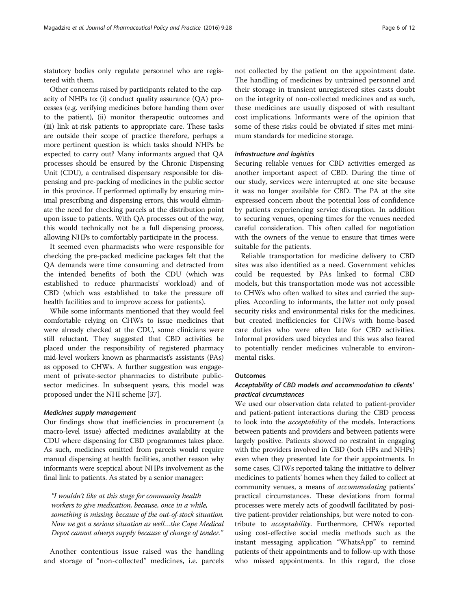statutory bodies only regulate personnel who are registered with them.

Other concerns raised by participants related to the capacity of NHPs to: (i) conduct quality assurance (QA) processes (e.g. verifying medicines before handing them over to the patient), (ii) monitor therapeutic outcomes and (iii) link at-risk patients to appropriate care. These tasks are outside their scope of practice therefore, perhaps a more pertinent question is: which tasks should NHPs be expected to carry out? Many informants argued that QA processes should be ensured by the Chronic Dispensing Unit (CDU), a centralised dispensary responsible for dispensing and pre-packing of medicines in the public sector in this province. If performed optimally by ensuring minimal prescribing and dispensing errors, this would eliminate the need for checking parcels at the distribution point upon issue to patients. With QA processes out of the way, this would technically not be a full dispensing process, allowing NHPs to comfortably participate in the process.

It seemed even pharmacists who were responsible for checking the pre-packed medicine packages felt that the QA demands were time consuming and detracted from the intended benefits of both the CDU (which was established to reduce pharmacists' workload) and of CBD (which was established to take the pressure off health facilities and to improve access for patients).

While some informants mentioned that they would feel comfortable relying on CHWs to issue medicines that were already checked at the CDU, some clinicians were still reluctant. They suggested that CBD activities be placed under the responsibility of registered pharmacy mid-level workers known as pharmacist's assistants (PAs) as opposed to CHWs. A further suggestion was engagement of private-sector pharmacies to distribute publicsector medicines. In subsequent years, this model was proposed under the NHI scheme [\[37\]](#page-11-0).

#### Medicines supply management

Our findings show that inefficiencies in procurement (a macro-level issue) affected medicines availability at the CDU where dispensing for CBD programmes takes place. As such, medicines omitted from parcels would require manual dispensing at health facilities, another reason why informants were sceptical about NHPs involvement as the final link to patients. As stated by a senior manager:

"I wouldn't like at this stage for community health workers to give medication, because, once in a while, something is missing, because of the out-of-stock situation. Now we got a serious situation as well…the Cape Medical Depot cannot always supply because of change of tender."

Another contentious issue raised was the handling and storage of "non-collected" medicines, i.e. parcels not collected by the patient on the appointment date. The handling of medicines by untrained personnel and their storage in transient unregistered sites casts doubt on the integrity of non-collected medicines and as such, these medicines are usually disposed of with resultant cost implications. Informants were of the opinion that some of these risks could be obviated if sites met minimum standards for medicine storage.

# Infrastructure and logistics

Securing reliable venues for CBD activities emerged as another important aspect of CBD. During the time of our study, services were interrupted at one site because it was no longer available for CBD. The PA at the site expressed concern about the potential loss of confidence by patients experiencing service disruption. In addition to securing venues, opening times for the venues needed careful consideration. This often called for negotiation with the owners of the venue to ensure that times were suitable for the patients.

Reliable transportation for medicine delivery to CBD sites was also identified as a need. Government vehicles could be requested by PAs linked to formal CBD models, but this transportation mode was not accessible to CHWs who often walked to sites and carried the supplies. According to informants, the latter not only posed security risks and environmental risks for the medicines, but created inefficiencies for CHWs with home-based care duties who were often late for CBD activities. Informal providers used bicycles and this was also feared to potentially render medicines vulnerable to environmental risks.

#### **Outcomes**

# Acceptability of CBD models and accommodation to clients' practical circumstances

We used our observation data related to patient-provider and patient-patient interactions during the CBD process to look into the acceptability of the models. Interactions between patients and providers and between patients were largely positive. Patients showed no restraint in engaging with the providers involved in CBD (both HPs and NHPs) even when they presented late for their appointments. In some cases, CHWs reported taking the initiative to deliver medicines to patients' homes when they failed to collect at community venues, a means of accommodating patients' practical circumstances. These deviations from formal processes were merely acts of goodwill facilitated by positive patient-provider relationships, but were noted to contribute to acceptability. Furthermore, CHWs reported using cost-effective social media methods such as the instant messaging application "WhatsApp" to remind patients of their appointments and to follow-up with those who missed appointments. In this regard, the close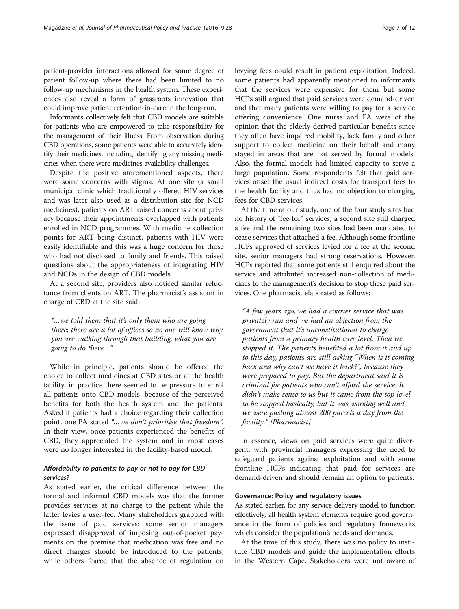patient-provider interactions allowed for some degree of patient follow-up where there had been limited to no follow-up mechanisms in the health system. These experiences also reveal a form of grassroots innovation that could improve patient retention-in-care in the long-run.

Informants collectively felt that CBD models are suitable for patients who are empowered to take responsibility for the management of their illness. From observation during CBD operations, some patients were able to accurately identify their medicines, including identifying any missing medicines when there were medicines availability challenges.

Despite the positive aforementioned aspects, there were some concerns with stigma. At one site (a small municipal clinic which traditionally offered HIV services and was later also used as a distribution site for NCD medicines), patients on ART raised concerns about privacy because their appointments overlapped with patients enrolled in NCD programmes. With medicine collection points for ART being distinct, patients with HIV were easily identifiable and this was a huge concern for those who had not disclosed to family and friends. This raised questions about the appropriateness of integrating HIV and NCDs in the design of CBD models.

At a second site, providers also noticed similar reluctance from clients on ART. The pharmacist's assistant in charge of CBD at the site said:

"…we told them that it's only them who are going there; there are a lot of offices so no one will know why you are walking through that building, what you are going to do there…"

While in principle, patients should be offered the choice to collect medicines at CBD sites or at the health facility, in practice there seemed to be pressure to enrol all patients onto CBD models, because of the perceived benefits for both the health system and the patients. Asked if patients had a choice regarding their collection point, one PA stated "...we don't prioritise that freedom". In their view, once patients experienced the benefits of CBD, they appreciated the system and in most cases were no longer interested in the facility-based model.

# Affordability to patients: to pay or not to pay for CBD services?

As stated earlier, the critical difference between the formal and informal CBD models was that the former provides services at no charge to the patient while the latter levies a user-fee. Many stakeholders grappled with the issue of paid services: some senior managers expressed disapproval of imposing out-of-pocket payments on the premise that medication was free and no direct charges should be introduced to the patients, while others feared that the absence of regulation on levying fees could result in patient exploitation. Indeed, some patients had apparently mentioned to informants that the services were expensive for them but some HCPs still argued that paid services were demand-driven and that many patients were willing to pay for a service offering convenience. One nurse and PA were of the opinion that the elderly derived particular benefits since they often have impaired mobility, lack family and other support to collect medicine on their behalf and many stayed in areas that are not served by formal models. Also, the formal models had limited capacity to serve a large population. Some respondents felt that paid services offset the usual indirect costs for transport fees to the health facility and thus had no objection to charging fees for CBD services.

At the time of our study, one of the four study sites had no history of "fee-for" services, a second site still charged a fee and the remaining two sites had been mandated to cease services that attached a fee. Although some frontline HCPs approved of services levied for a fee at the second site, senior managers had strong reservations. However, HCPs reported that some patients still enquired about the service and attributed increased non-collection of medicines to the management's decision to stop these paid services. One pharmacist elaborated as follows:

"A few years ago, we had a courier service that was privately run and we had an objection from the government that it's unconstitutional to charge patients from a primary health care level. Then we stopped it. The patients benefited a lot from it and up to this day, patients are still asking "When is it coming back and why can't we have it back?", because they were prepared to pay. But the department said it is criminal for patients who can't afford the service. It didn't make sense to us but it came from the top level to be stopped basically, but it was working well and we were pushing almost 200 parcels a day from the facility." [Pharmacist]

In essence, views on paid services were quite divergent, with provincial managers expressing the need to safeguard patients against exploitation and with some frontline HCPs indicating that paid for services are demand-driven and should remain an option to patients.

#### Governance: Policy and regulatory issues

As stated earlier, for any service delivery model to function effectively, all health system elements require good governance in the form of policies and regulatory frameworks which consider the population's needs and demands.

At the time of this study, there was no policy to institute CBD models and guide the implementation efforts in the Western Cape. Stakeholders were not aware of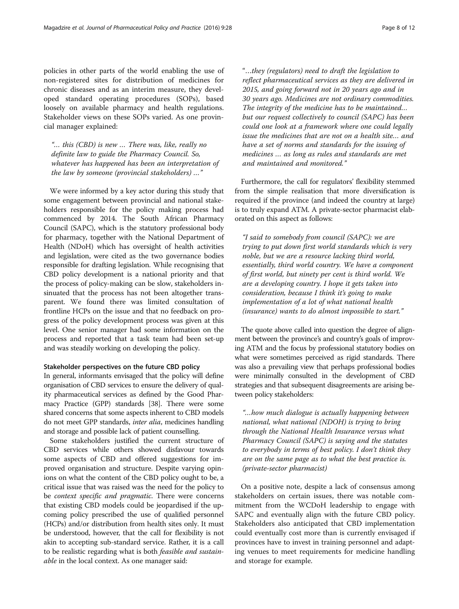policies in other parts of the world enabling the use of non-registered sites for distribution of medicines for chronic diseases and as an interim measure, they developed standard operating procedures (SOPs), based loosely on available pharmacy and health regulations. Stakeholder views on these SOPs varied. As one provincial manager explained:

"… this (CBD) is new … There was, like, really no definite law to guide the Pharmacy Council. So, whatever has happened has been an interpretation of the law by someone (provincial stakeholders) …"

We were informed by a key actor during this study that some engagement between provincial and national stakeholders responsible for the policy making process had commenced by 2014. The South African Pharmacy Council (SAPC), which is the statutory professional body for pharmacy, together with the National Department of Health (NDoH) which has oversight of health activities and legislation, were cited as the two governance bodies responsible for drafting legislation. While recognising that CBD policy development is a national priority and that the process of policy-making can be slow, stakeholders insinuated that the process has not been altogether transparent. We found there was limited consultation of frontline HCPs on the issue and that no feedback on progress of the policy development process was given at this level. One senior manager had some information on the process and reported that a task team had been set-up and was steadily working on developing the policy.

#### Stakeholder perspectives on the future CBD policy

In general, informants envisaged that the policy will define organisation of CBD services to ensure the delivery of quality pharmaceutical services as defined by the Good Pharmacy Practice (GPP) standards [[38](#page-11-0)]. There were some shared concerns that some aspects inherent to CBD models do not meet GPP standards, inter alia, medicines handling and storage and possible lack of patient counselling.

Some stakeholders justified the current structure of CBD services while others showed disfavour towards some aspects of CBD and offered suggestions for improved organisation and structure. Despite varying opinions on what the content of the CBD policy ought to be, a critical issue that was raised was the need for the policy to be *context specific and pragmatic*. There were concerns that existing CBD models could be jeopardised if the upcoming policy prescribed the use of qualified personnel (HCPs) and/or distribution from health sites only. It must be understood, however, that the call for flexibility is not akin to accepting sub-standard service. Rather, it is a call to be realistic regarding what is both feasible and sustainable in the local context. As one manager said:

"…they (regulators) need to draft the legislation to reflect pharmaceutical services as they are delivered in 2015, and going forward not in 20 years ago and in 30 years ago. Medicines are not ordinary commodities. The integrity of the medicine has to be maintained… but our request collectively to council (SAPC) has been could one look at a framework where one could legally issue the medicines that are not on a health site… and have a set of norms and standards for the issuing of medicines … as long as rules and standards are met and maintained and monitored."

Furthermore, the call for regulators' flexibility stemmed from the simple realisation that more diversification is required if the province (and indeed the country at large) is to truly expand ATM. A private-sector pharmacist elaborated on this aspect as follows:

"I said to somebody from council (SAPC): we are trying to put down first world standards which is very noble, but we are a resource lacking third world, essentially, third world country. We have a component of first world, but ninety per cent is third world. We are a developing country. I hope it gets taken into consideration, because I think it's going to make implementation of a lot of what national health (insurance) wants to do almost impossible to start."

The quote above called into question the degree of alignment between the province's and country's goals of improving ATM and the focus by professional statutory bodies on what were sometimes perceived as rigid standards. There was also a prevailing view that perhaps professional bodies were minimally consulted in the development of CBD strategies and that subsequent disagreements are arising between policy stakeholders:

"…how much dialogue is actually happening between national, what national (NDOH) is trying to bring through the National Health Insurance versus what Pharmacy Council (SAPC) is saying and the statutes to everybody in terms of best policy. I don't think they are on the same page as to what the best practice is. (private-sector pharmacist)

On a positive note, despite a lack of consensus among stakeholders on certain issues, there was notable commitment from the WCDoH leadership to engage with SAPC and eventually align with the future CBD policy. Stakeholders also anticipated that CBD implementation could eventually cost more than is currently envisaged if provinces have to invest in training personnel and adapting venues to meet requirements for medicine handling and storage for example.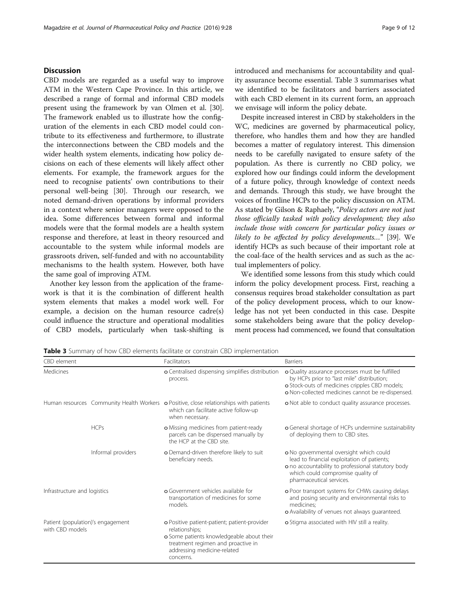# **Discussion**

CBD models are regarded as a useful way to improve ATM in the Western Cape Province. In this article, we described a range of formal and informal CBD models present using the framework by van Olmen et al. [\[30](#page-11-0)]. The framework enabled us to illustrate how the configuration of the elements in each CBD model could contribute to its effectiveness and furthermore, to illustrate the interconnections between the CBD models and the wider health system elements, indicating how policy decisions on each of these elements will likely affect other elements. For example, the framework argues for the need to recognise patients' own contributions to their personal well-being [\[30](#page-11-0)]. Through our research, we noted demand-driven operations by informal providers in a context where senior managers were opposed to the idea. Some differences between formal and informal models were that the formal models are a health system response and therefore, at least in theory resourced and accountable to the system while informal models are grassroots driven, self-funded and with no accountability mechanisms to the health system. However, both have the same goal of improving ATM.

Another key lesson from the application of the framework is that it is the combination of different health system elements that makes a model work well. For example, a decision on the human resource cadre(s) could influence the structure and operational modalities of CBD models, particularly when task-shifting is introduced and mechanisms for accountability and quality assurance become essential. Table 3 summarises what we identified to be facilitators and barriers associated with each CBD element in its current form, an approach we envisage will inform the policy debate.

Despite increased interest in CBD by stakeholders in the WC, medicines are governed by pharmaceutical policy, therefore, who handles them and how they are handled becomes a matter of regulatory interest. This dimension needs to be carefully navigated to ensure safety of the population. As there is currently no CBD policy, we explored how our findings could inform the development of a future policy, through knowledge of context needs and demands. Through this study, we have brought the voices of frontline HCPs to the policy discussion on ATM. As stated by Gilson & Raphaely, "Policy actors are not just those officially tasked with policy development; they also include those with concern for particular policy issues or likely to be affected by policy developments…" [[39\]](#page-11-0). We identify HCPs as such because of their important role at the coal-face of the health services and as such as the actual implementers of policy.

We identified some lessons from this study which could inform the policy development process. First, reaching a consensus requires broad stakeholder consultation as part of the policy development process, which to our knowledge has not yet been conducted in this case. Despite some stakeholders being aware that the policy development process had commenced, we found that consultation

**Table 3** Summary of how CBD elements facilitate or constrain CBD implementation

| CBD element                                          |                    | Facilitators                                                                                                                                                                                  | <b>Barriers</b>                                                                                                                                                                                               |
|------------------------------------------------------|--------------------|-----------------------------------------------------------------------------------------------------------------------------------------------------------------------------------------------|---------------------------------------------------------------------------------------------------------------------------------------------------------------------------------------------------------------|
| Medicines                                            |                    | o Centralised dispensing simplifies distribution<br>process.                                                                                                                                  | o Quality assurance processes must be fulfilled<br>by HCPs prior to "last mile" distribution;<br>o Stock-outs of medicines cripples CBD models;<br>o Non-collected medicines cannot be re-dispensed.          |
|                                                      |                    | Human resources Community Health Workers $\circ$ Positive, close relationships with patients<br>which can facilitate active follow-up<br>when necessary.                                      | o Not able to conduct quality assurance processes.                                                                                                                                                            |
|                                                      | <b>HCPs</b>        | <b>o</b> Missing medicines from patient-ready<br>parcels can be dispensed manually by<br>the HCP at the CBD site.                                                                             | <b>o</b> General shortage of HCPs undermine sustainability<br>of deploying them to CBD sites.                                                                                                                 |
|                                                      | Informal providers | o Demand-driven therefore likely to suit<br>beneficiary needs.                                                                                                                                | o No governmental oversight which could<br>lead to financial exploitation of patients;<br>o no accountability to professional statutory body<br>which could compromise quality of<br>pharmaceutical services. |
| Infrastructure and logistics                         |                    | <b>o</b> Government vehicles available for<br>transportation of medicines for some<br>models.                                                                                                 | o Poor transport systems for CHWs causing delays<br>and posing security and environmental risks to<br>medicines:<br>o Availability of venues not always quaranteed.                                           |
| Patient (population)'s engagement<br>with CBD models |                    | o Positive patient-patient; patient-provider<br>relationships;<br>o Some patients knowledgeable about their<br>treatment regimen and proactive in<br>addressing medicine-related<br>concerns. | o Stigma associated with HIV still a reality.                                                                                                                                                                 |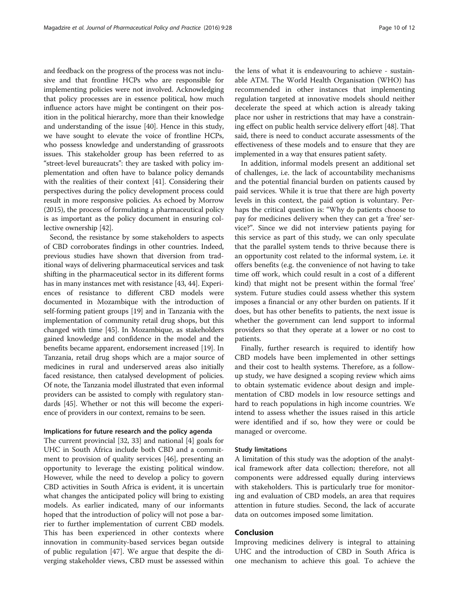and feedback on the progress of the process was not inclusive and that frontline HCPs who are responsible for implementing policies were not involved. Acknowledging that policy processes are in essence political, how much influence actors have might be contingent on their position in the political hierarchy, more than their knowledge and understanding of the issue [[40](#page-11-0)]. Hence in this study, we have sought to elevate the voice of frontline HCPs, who possess knowledge and understanding of grassroots issues. This stakeholder group has been referred to as "street-level bureaucrats": they are tasked with policy implementation and often have to balance policy demands with the realities of their context [[41](#page-11-0)]. Considering their perspectives during the policy development process could result in more responsive policies. As echoed by Morrow (2015), the process of formulating a pharmaceutical policy is as important as the policy document in ensuring collective ownership [\[42\]](#page-11-0).

Second, the resistance by some stakeholders to aspects of CBD corroborates findings in other countries. Indeed, previous studies have shown that diversion from traditional ways of delivering pharmaceutical services and task shifting in the pharmaceutical sector in its different forms has in many instances met with resistance [[43](#page-11-0), [44\]](#page-11-0). Experiences of resistance to different CBD models were documented in Mozambique with the introduction of self-forming patient groups [\[19\]](#page-10-0) and in Tanzania with the implementation of community retail drug shops, but this changed with time [[45](#page-11-0)]. In Mozambique, as stakeholders gained knowledge and confidence in the model and the benefits became apparent, endorsement increased [\[19\]](#page-10-0). In Tanzania, retail drug shops which are a major source of medicines in rural and underserved areas also initially faced resistance, then catalysed development of policies. Of note, the Tanzania model illustrated that even informal providers can be assisted to comply with regulatory standards [[45](#page-11-0)]. Whether or not this will become the experience of providers in our context, remains to be seen.

## Implications for future research and the policy agenda

The current provincial [[32, 33\]](#page-11-0) and national [\[4](#page-10-0)] goals for UHC in South Africa include both CBD and a commitment to provision of quality services [[46\]](#page-11-0), presenting an opportunity to leverage the existing political window. However, while the need to develop a policy to govern CBD activities in South Africa is evident, it is uncertain what changes the anticipated policy will bring to existing models. As earlier indicated, many of our informants hoped that the introduction of policy will not pose a barrier to further implementation of current CBD models. This has been experienced in other contexts where innovation in community-based services began outside of public regulation [\[47\]](#page-11-0). We argue that despite the diverging stakeholder views, CBD must be assessed within

the lens of what it is endeavouring to achieve - sustainable ATM. The World Health Organisation (WHO) has recommended in other instances that implementing regulation targeted at innovative models should neither decelerate the speed at which action is already taking place nor usher in restrictions that may have a constraining effect on public health service delivery effort [\[48\]](#page-11-0). That said, there is need to conduct accurate assessments of the effectiveness of these models and to ensure that they are implemented in a way that ensures patient safety.

In addition, informal models present an additional set of challenges, i.e. the lack of accountability mechanisms and the potential financial burden on patients caused by paid services. While it is true that there are high poverty levels in this context, the paid option is voluntary. Perhaps the critical question is: "Why do patients choose to pay for medicines delivery when they can get a 'free' service?". Since we did not interview patients paying for this service as part of this study, we can only speculate that the parallel system tends to thrive because there is an opportunity cost related to the informal system, i.e. it offers benefits (e.g. the convenience of not having to take time off work, which could result in a cost of a different kind) that might not be present within the formal 'free' system. Future studies could assess whether this system imposes a financial or any other burden on patients. If it does, but has other benefits to patients, the next issue is whether the government can lend support to informal providers so that they operate at a lower or no cost to patients.

Finally, further research is required to identify how CBD models have been implemented in other settings and their cost to health systems. Therefore, as a followup study, we have designed a scoping review which aims to obtain systematic evidence about design and implementation of CBD models in low resource settings and hard to reach populations in high income countries. We intend to assess whether the issues raised in this article were identified and if so, how they were or could be managed or overcome.

## Study limitations

A limitation of this study was the adoption of the analytical framework after data collection; therefore, not all components were addressed equally during interviews with stakeholders. This is particularly true for monitoring and evaluation of CBD models, an area that requires attention in future studies. Second, the lack of accurate data on outcomes imposed some limitation.

## Conclusion

Improving medicines delivery is integral to attaining UHC and the introduction of CBD in South Africa is one mechanism to achieve this goal. To achieve the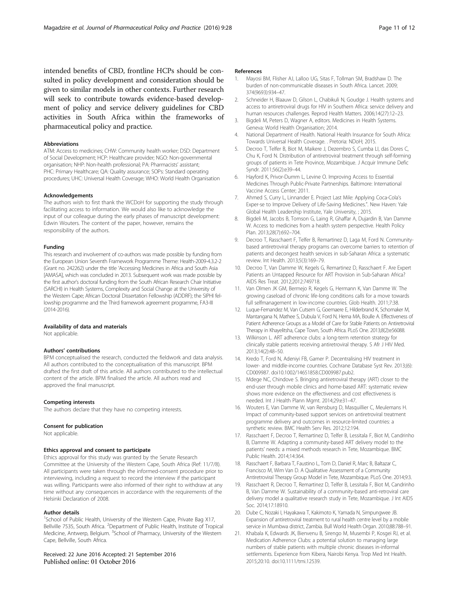<span id="page-10-0"></span>intended benefits of CBD, frontline HCPs should be consulted in policy development and consideration should be given to similar models in other contexts. Further research will seek to contribute towards evidence-based development of policy and service delivery guidelines for CBD activities in South Africa within the frameworks of pharmaceutical policy and practice.

#### Abbreviations

ATM: Access to medicines; CHW: Community health worker; DSD: Department of Social Development; HCP: Healthcare provider; NGO: Non-governmental organisation; NHP: Non-health professional; PA: Pharmacists' assistant; PHC: Primary Healthcare; QA: Quality assurance; SOPs: Standard operating procedures; UHC: Universal Health Coverage; WHO: World Health Organisation

#### Acknowledgements

The authors wish to first thank the WCDoH for supporting the study through facilitating access to information. We would also like to acknowledge the input of our colleague during the early phases of manuscript development: Edwin Wouters. The content of the paper, however, remains the responsibility of the authors.

#### Funding

This research and involvement of co-authors was made possible by funding from the European Union Seventh Framework Programme Theme: Health-2009-4.3.2-2 (Grant no. 242262) under the title 'Accessing Medicines in Africa and South Asia [AMASA], which was concluded in 2013. Subsequent work was made possible by the first author's doctoral funding from the South African Research Chair Initiative (SARCHI) in Health Systems, Complexity and Social Change at the University of the Western Cape; African Doctoral Dissertation Fellowship (ADDRF); the SIPHI fellowship programme and the Third framework agreement programme, FA3-III (2014-2016).

#### Availability of data and materials

Not applicable.

#### Authors' contributions

BPM conceptualised the research, conducted the fieldwork and data analysis. All authors contributed to the conceptualisation of this manuscript. BPM drafted the first draft of this article. All authors contributed to the intellectual content of the article. BPM finalised the article. All authors read and approved the final manuscript.

#### Competing interests

The authors declare that they have no competing interests.

#### Consent for publication

Not applicable.

#### Ethics approval and consent to participate

Ethics approval for this study was granted by the Senate Research Committee at the University of the Western Cape, South Africa (Ref: 11/7/8). All participants were taken through the informed-consent procedure prior to interviewing, including a request to record the interview if the participant was willing. Participants were also informed of their right to withdraw at any time without any consequences in accordance with the requirements of the Helsinki Declaration of 2008.

#### Author details

<sup>1</sup>School of Public Health, University of the Western Cape, Private Bag X17, Bellville 7535, South Africa. <sup>2</sup>Department of Public Health, Institute of Tropical Medicine, Antwerp, Belgium. <sup>3</sup>School of Pharmacy, University of the Western Cape, Bellville, South Africa.

Received: 22 June 2016 Accepted: 21 September 2016 Published online: 01 October 2016

#### References

- 1. Mayosi BM, Flisher AJ, Lalloo UG, Sitas F, Tollman SM, Bradshaw D. The burden of non-communicable diseases in South Africa. Lancet. 2009; 374(9693):934–47.
- 2. Schneider H, Blaauw D, Gilson L, Chabikuli N, Goudge J. Health systems and access to antiretroviral drugs for HIV in Southern Africa: service delivery and human resources challenges. Reprod Health Matters. 2006;14(27):12–23.
- 3. Bigdeli M, Peters D, Wagner A, editors. Medicines in Health Systems. Geneva: World Health Organisation; 2014.
- 4. National Department of Health. National Health Insurance for South Africa: Towards Universal Health Coverage. . Pretoria: NDoH; 2015.
- 5. Decroo T, Telfer B, Biot M, Maikere J, Dezembro S, Cumba LI, das Dores C, Chu K, Ford N. Distribution of antiretroviral treatment through self-forming groups of patients in Tete Province, Mozambique. J Acquir Immune Defic Syndr. 2011;56(2):e39–44.
- 6. Hayford K, Privor-Dumm L, Levine O. Improving Access to Essential Medicines Through Public-Private Partnerships. Baltimore: International Vaccine Access Center; 2011.
- 7. Ahmed S, Curry L, Linnander E. Project Last Mile: Applying Coca-Cola's Exper-se to Improve Delivery of Life-Saving Medicines.". New Haven: Yale Global Health Leadership Institute, Yale University, ; 2015.
- 8. Bigdeli M, Jacobs B, Tomson G, Laing R, Ghaffar A, Dujardin B, Van Damme W. Access to medicines from a health system perspective. Health Policy Plan. 2013;28(7):692–704.
- 9. Decroo T, Rasschaert F, Telfer B, Remartinez D, Laga M, Ford N. Communitybased antiretroviral therapy programs can overcome barriers to retention of patients and decongest health services in sub-Saharan Africa: a systematic review. Int Health. 2013;5(3):169–79.
- 10. Decroo T, Van Damme W, Kegels G, Remartinez D, Rasschaert F. Are Expert Patients an Untapped Resource for ART Provision in Sub-Saharan Africa? AIDS Res Treat. 2012;2012:749718.
- 11. Van Olmen JK GM, Bermejo R, Kegels G, Hermann K, Van Damme W. The growing caseload of chronic life-long conditions calls for a move towards full selfmanagement in low-income countries. Glob Health. 2011;7:38.
- 12. Luque-Fernandez M, Van Cutsem G, Goemaere E, Hilderbrand K, Schomaker M, Mantangana N, Mathee S, Dubula V, Ford N, Herna MA, Boulle A. Effectiveness of Patient Adherence Groups as a Model of Care for Stable Patients on Antiretroviral Therapy in Khayelitsha, Cape Town, South Africa. PLoS One. 2013;8(2):e56088.
- 13. Wilkinson L. ART adherence clubs: a long-term retention strategy for clinically stable patients receiving antiretroviral therapy. S Afr J HIV Med. 2013;14(2):48–50.
- 14. Kredo T, Ford N, Adeniyi FB, Garner P. Decentralising HIV treatment in lower- and middle-income countries. Cochrane Database Syst Rev. 2013;(6): CD009987. do[i10.1002/14651858.CD009987.pub2.](http://dx.doi.org/10.1002/14651858.CD009987.pub2)
- 15. Mdege NC, Chindove S. Bringing antiretroviral therapy (ART) closer to the end-user through mobile clinics and home-based ART: systematic review shows more evidence on the effectiveness and cost effectiveness is needed. Int J Health Plann Mgmt. 2014;29:e31–47.
- 16. Wouters E, Van Damme W, van Rensburg D, Masquillier C, Meulemans H. Impact of community-based support services on antiretroviral treatment programme delivery and outcomes in resource-limited countries: a synthetic review. BMC Health Serv Res. 2012;12:194.
- 17. Rasschaert F, Decroo T, Remartinez D, Telfer B, Lessitala F, Biot M, Candrinho B, Damme W. Adapting a community-based ART delivery model to the patients' needs: a mixed methods research in Tete, Mozambique. BMC Public Health. 2014;14:364.
- 18. Rasschaert F, Barbara T, Faustino L, Tom D, Daniel R, Marc B, Baltazar C, Francisco M, Wim Van D. A Qualitative Assessment of a Community Antiretroviral Therapy Group Model in Tete, Mozambique. PLoS One. 2014;9:3.
- 19. Rasschaert R, Decroo T, Remartinez D, Telfer B, Lessitala F, Biot M, Candrinho B, Van Damme W. Sustainability of a community-based anti-retroviral care delivery model a qualitative research study in Tete, Mozambique. J Int AIDS Soc. 2014;17:18910.
- 20. Dube C, Nozaki I, Hayakawa T, Kakimoto K, Yamada N, Simpungwee JB. Expansion of antiretroviral treatment to rural health centre level by a mobile service in Mumbwa district, Zambia. Bull World Health Organ. 2010;88:788–91.
- 21. Khabala K, Edwards JK, Bienvenu B, Sirengo M, Musembi P, Kosgei RJ, et al. Medication Adherence Clubs: a potential solution to managing large numbers of stable patients with multiple chronic diseases in-informal settlements. Experience from Kibera, Nairobi Kenya. Trop Med Int Health. 2015;20:10. doi[:10.1111/tmi.12539.](http://dx.doi.org/10.1111/tmi.12539)